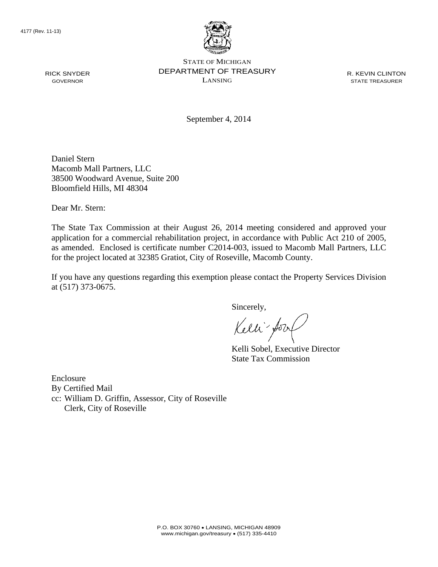

STATE OF MICHIGAN DEPARTMENT OF TREASURY LANSING

R. KEVIN CLINTON STATE TREASURER

September 4, 2014

Daniel Stern Macomb Mall Partners, LLC 38500 Woodward Avenue, Suite 200 Bloomfield Hills, MI 48304

Dear Mr. Stern:

The State Tax Commission at their August 26, 2014 meeting considered and approved your application for a commercial rehabilitation project, in accordance with Public Act 210 of 2005, as amended. Enclosed is certificate number C2014-003, issued to Macomb Mall Partners, LLC for the project located at 32385 Gratiot, City of Roseville, Macomb County.

If you have any questions regarding this exemption please contact the Property Services Division at (517) 373-0675.

Sincerely,

Kelli fory

Kelli Sobel, Executive Director State Tax Commission

Enclosure By Certified Mail cc: William D. Griffin, Assessor, City of Roseville Clerk, City of Roseville

RICK SNYDER GOVERNOR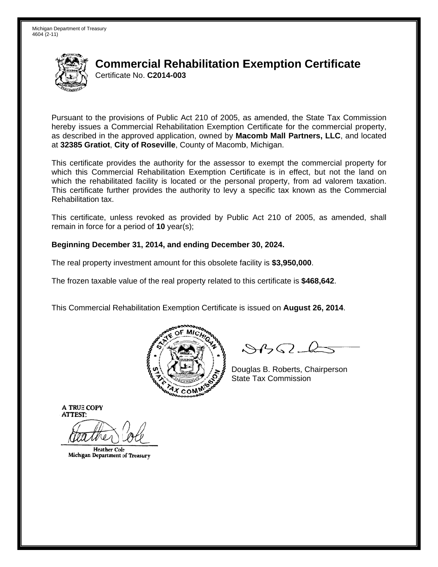

# **Commercial Rehabilitation Exemption Certificate** Certificate No. C2014-003

Pursuant to the provisions of Public Act 210 of 2005, as amended, the State Tax Commission hereby issues a Commercial Rehabilitation Exemption Certificate for the commercial property. as described in the approved application, owned by Macomb Mall Partners, LLC, and located at 32385 Gratiot, City of Roseville, County of Macomb, Michigan.

This certificate provides the authority for the assessor to exempt the commercial property for which this Commercial Rehabilitation Exemption Certificate is in effect, but not the land on which the rehabilitated facility is located or the personal property, from ad valorem taxation. This certificate further provides the authority to levy a specific tax known as the Commercial Rehabilitation tax.

This certificate, unless revoked as provided by Public Act 210 of 2005, as amended, shall remain in force for a period of  $10$  year(s);

## Beginning December 31, 2014, and ending December 30, 2024.

The real property investment amount for this obsolete facility is \$3,950,000.

The frozen taxable value of the real property related to this certificate is \$468,642.

This Commercial Rehabilitation Exemption Certificate is issued on August 26, 2014.



 $\mathcal{S}4\mathcal{G}$ 

Douglas B. Roberts, Chairperson **State Tax Commission** 

**A TRUE COPY ATTEST:** 

**Heather Cole** Michigan Department of Treasury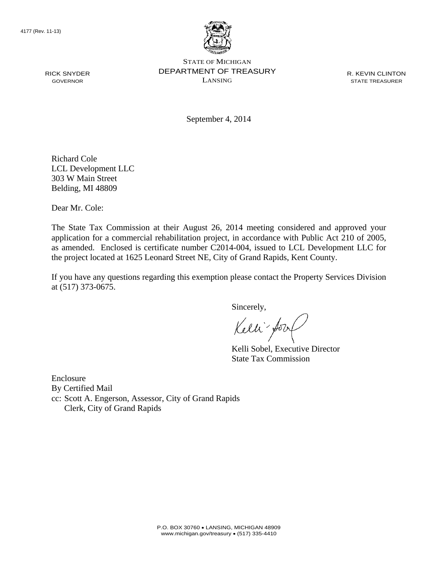RICK SNYDER GOVERNOR



STATE OF MICHIGAN DEPARTMENT OF TREASURY LANSING

R. KEVIN CLINTON STATE TREASURER

September 4, 2014

Richard Cole LCL Development LLC 303 W Main Street Belding, MI 48809

Dear Mr. Cole:

The State Tax Commission at their August 26, 2014 meeting considered and approved your application for a commercial rehabilitation project, in accordance with Public Act 210 of 2005, as amended. Enclosed is certificate number C2014-004, issued to LCL Development LLC for the project located at 1625 Leonard Street NE, City of Grand Rapids, Kent County.

If you have any questions regarding this exemption please contact the Property Services Division at (517) 373-0675.

Sincerely,

Kelli fory

Kelli Sobel, Executive Director State Tax Commission

Enclosure By Certified Mail cc: Scott A. Engerson, Assessor, City of Grand Rapids Clerk, City of Grand Rapids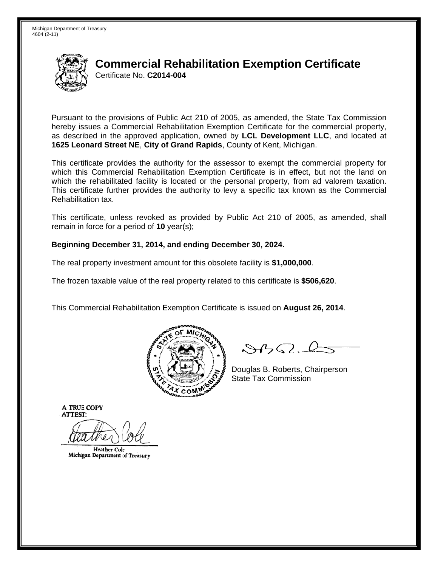

# **Commercial Rehabilitation Exemption Certificate** Certificate No. C2014-004

Pursuant to the provisions of Public Act 210 of 2005, as amended, the State Tax Commission hereby issues a Commercial Rehabilitation Exemption Certificate for the commercial property, as described in the approved application, owned by LCL Development LLC, and located at 1625 Leonard Street NE, City of Grand Rapids, County of Kent, Michigan.

This certificate provides the authority for the assessor to exempt the commercial property for which this Commercial Rehabilitation Exemption Certificate is in effect, but not the land on which the rehabilitated facility is located or the personal property, from ad valorem taxation. This certificate further provides the authority to levy a specific tax known as the Commercial Rehabilitation tax.

This certificate, unless revoked as provided by Public Act 210 of 2005, as amended, shall remain in force for a period of  $10$  year(s);

## Beginning December 31, 2014, and ending December 30, 2024.

The real property investment amount for this obsolete facility is \$1,000,000.

The frozen taxable value of the real property related to this certificate is \$506,620.

This Commercial Rehabilitation Exemption Certificate is issued on August 26, 2014.



 $\mathcal{S}4\mathcal{G}$ 

Douglas B. Roberts, Chairperson **State Tax Commission** 

**A TRUE COPY ATTEST:** 

**Heather Cole** Michigan Department of Treasury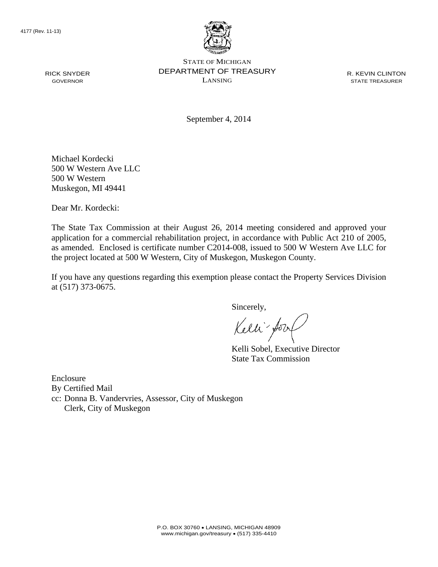RICK SNYDER GOVERNOR



STATE OF MICHIGAN DEPARTMENT OF TREASURY LANSING

R. KEVIN CLINTON STATE TREASURER

September 4, 2014

Michael Kordecki 500 W Western Ave LLC 500 W Western Muskegon, MI 49441

Dear Mr. Kordecki:

The State Tax Commission at their August 26, 2014 meeting considered and approved your application for a commercial rehabilitation project, in accordance with Public Act 210 of 2005, as amended. Enclosed is certificate number C2014-008, issued to 500 W Western Ave LLC for the project located at 500 W Western, City of Muskegon, Muskegon County.

If you have any questions regarding this exemption please contact the Property Services Division at (517) 373-0675.

Sincerely,

Kelli fory

Kelli Sobel, Executive Director State Tax Commission

Enclosure By Certified Mail cc: Donna B. Vandervries, Assessor, City of Muskegon Clerk, City of Muskegon